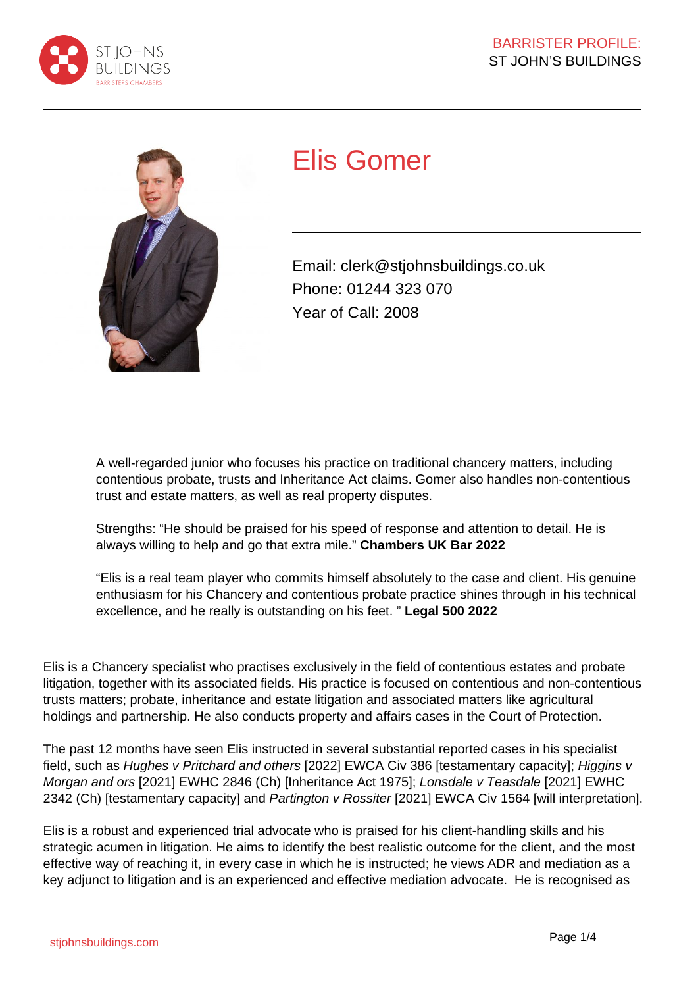



# Elis Gomer

Email: clerk@stjohnsbuildings.co.uk Phone: 01244 323 070 Year of Call: 2008

A well-regarded junior who focuses his practice on traditional chancery matters, including contentious probate, trusts and Inheritance Act claims. Gomer also handles non-contentious trust and estate matters, as well as real property disputes.

Strengths: "He should be praised for his speed of response and attention to detail. He is always willing to help and go that extra mile." **Chambers UK Bar 2022**

"Elis is a real team player who commits himself absolutely to the case and client. His genuine enthusiasm for his Chancery and contentious probate practice shines through in his technical excellence, and he really is outstanding on his feet. " **Legal 500 2022**

Elis is a Chancery specialist who practises exclusively in the field of contentious estates and probate litigation, together with its associated fields. His practice is focused on contentious and non-contentious trusts matters; probate, inheritance and estate litigation and associated matters like agricultural holdings and partnership. He also conducts property and affairs cases in the Court of Protection.

The past 12 months have seen Elis instructed in several substantial reported cases in his specialist field, such as Hughes v Pritchard and others [2022] EWCA Civ 386 [testamentary capacity]; Higgins v Morgan and ors [2021] EWHC 2846 (Ch) [Inheritance Act 1975]; Lonsdale v Teasdale [2021] EWHC 2342 (Ch) [testamentary capacity] and Partington v Rossiter [2021] EWCA Civ 1564 [will interpretation].

Elis is a robust and experienced trial advocate who is praised for his client-handling skills and his strategic acumen in litigation. He aims to identify the best realistic outcome for the client, and the most effective way of reaching it, in every case in which he is instructed; he views ADR and mediation as a key adjunct to litigation and is an experienced and effective mediation advocate. He is recognised as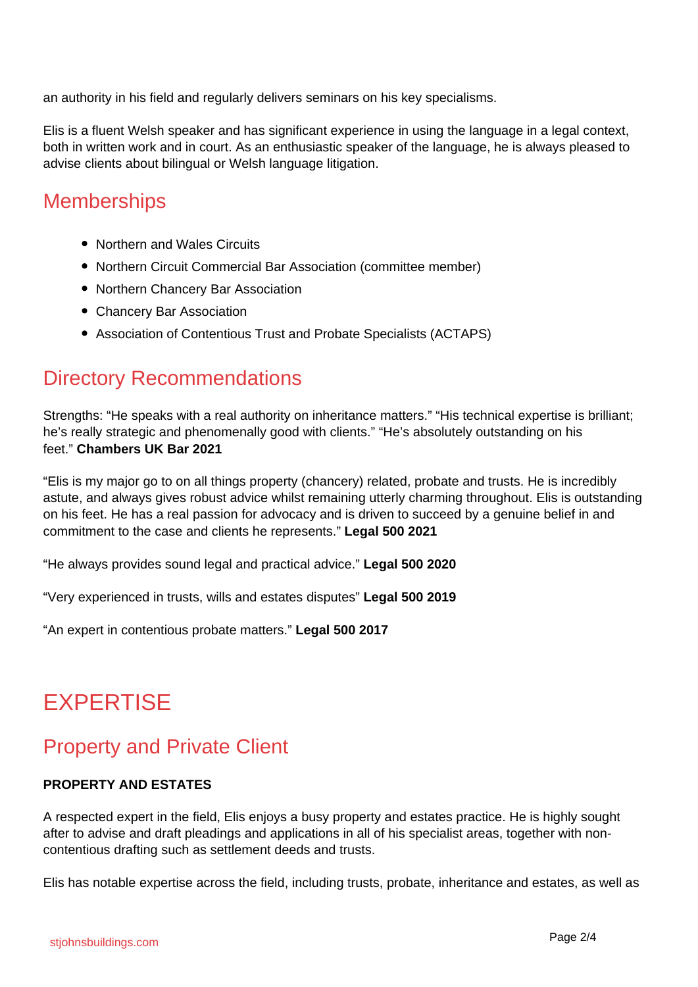an authority in his field and regularly delivers seminars on his key specialisms.

Elis is a fluent Welsh speaker and has significant experience in using the language in a legal context, both in written work and in court. As an enthusiastic speaker of the language, he is always pleased to advise clients about bilingual or Welsh language litigation.

#### **Memberships**

- Northern and Wales Circuits
- Northern Circuit Commercial Bar Association (committee member)
- Northern Chancery Bar Association
- Chancery Bar Association
- Association of Contentious Trust and Probate Specialists (ACTAPS)

#### Directory Recommendations

Strengths: "He speaks with a real authority on inheritance matters." "His technical expertise is brilliant; he's really strategic and phenomenally good with clients." "He's absolutely outstanding on his feet." **Chambers UK Bar 2021**

"Elis is my major go to on all things property (chancery) related, probate and trusts. He is incredibly astute, and always gives robust advice whilst remaining utterly charming throughout. Elis is outstanding on his feet. He has a real passion for advocacy and is driven to succeed by a genuine belief in and commitment to the case and clients he represents." **Legal 500 2021**

"He always provides sound legal and practical advice." **Legal 500 2020**

"Very experienced in trusts, wills and estates disputes" **Legal 500 2019**

"An expert in contentious probate matters." **Legal 500 2017**

## EXPERTISE

#### Property and Private Client

#### **PROPERTY AND ESTATES**

A respected expert in the field, Elis enjoys a busy property and estates practice. He is highly sought after to advise and draft pleadings and applications in all of his specialist areas, together with noncontentious drafting such as settlement deeds and trusts.

Elis has notable expertise across the field, including trusts, probate, inheritance and estates, as well as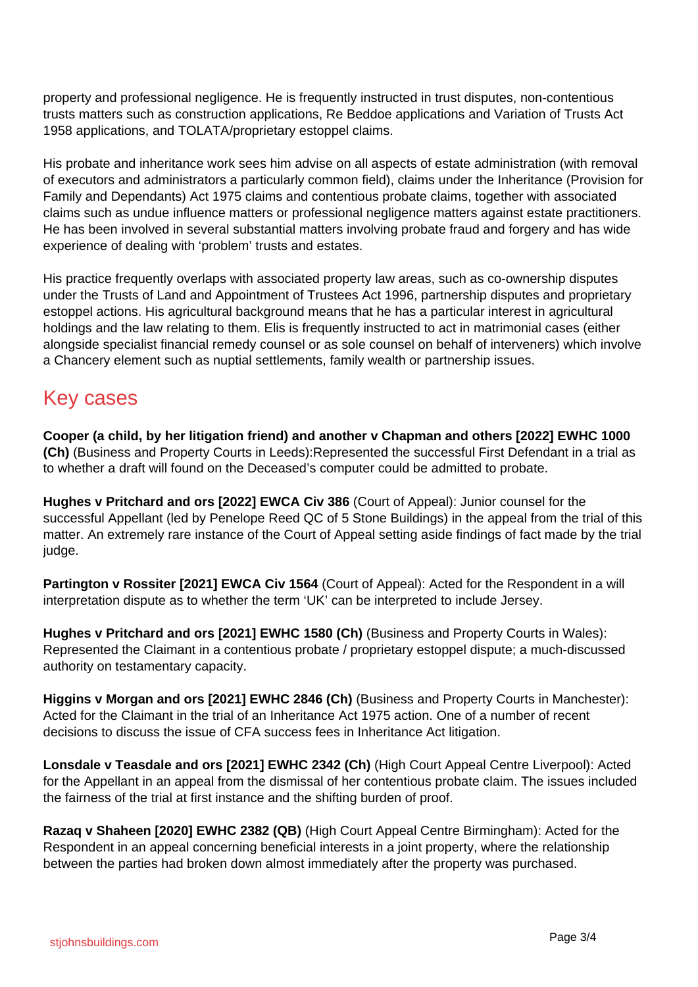property and professional negligence. He is frequently instructed in trust disputes, non-contentious trusts matters such as construction applications, Re Beddoe applications and Variation of Trusts Act 1958 applications, and TOLATA/proprietary estoppel claims.

His probate and inheritance work sees him advise on all aspects of estate administration (with removal of executors and administrators a particularly common field), claims under the Inheritance (Provision for Family and Dependants) Act 1975 claims and contentious probate claims, together with associated claims such as undue influence matters or professional negligence matters against estate practitioners. He has been involved in several substantial matters involving probate fraud and forgery and has wide experience of dealing with 'problem' trusts and estates.

His practice frequently overlaps with associated property law areas, such as co-ownership disputes under the Trusts of Land and Appointment of Trustees Act 1996, partnership disputes and proprietary estoppel actions. His agricultural background means that he has a particular interest in agricultural holdings and the law relating to them. Elis is frequently instructed to act in matrimonial cases (either alongside specialist financial remedy counsel or as sole counsel on behalf of interveners) which involve a Chancery element such as nuptial settlements, family wealth or partnership issues.

#### Key cases

**Cooper (a child, by her litigation friend) and another v Chapman and others [2022] EWHC 1000 (Ch)** (Business and Property Courts in Leeds):Represented the successful First Defendant in a trial as to whether a draft will found on the Deceased's computer could be admitted to probate.

**Hughes v Pritchard and ors [2022] EWCA Civ 386** (Court of Appeal): Junior counsel for the successful Appellant (led by Penelope Reed QC of 5 Stone Buildings) in the appeal from the trial of this matter. An extremely rare instance of the Court of Appeal setting aside findings of fact made by the trial judge.

**Partington v Rossiter [2021] EWCA Civ 1564** (Court of Appeal): Acted for the Respondent in a will interpretation dispute as to whether the term 'UK' can be interpreted to include Jersey.

**Hughes v Pritchard and ors [2021] EWHC 1580 (Ch)** (Business and Property Courts in Wales): Represented the Claimant in a contentious probate / proprietary estoppel dispute; a much-discussed authority on testamentary capacity.

**Higgins v Morgan and ors [2021] EWHC 2846 (Ch)** (Business and Property Courts in Manchester): Acted for the Claimant in the trial of an Inheritance Act 1975 action. One of a number of recent decisions to discuss the issue of CFA success fees in Inheritance Act litigation.

**Lonsdale v Teasdale and ors [2021] EWHC 2342 (Ch)** (High Court Appeal Centre Liverpool): Acted for the Appellant in an appeal from the dismissal of her contentious probate claim. The issues included the fairness of the trial at first instance and the shifting burden of proof.

**Razaq v Shaheen [2020] EWHC 2382 (QB)** (High Court Appeal Centre Birmingham): Acted for the Respondent in an appeal concerning beneficial interests in a joint property, where the relationship between the parties had broken down almost immediately after the property was purchased.